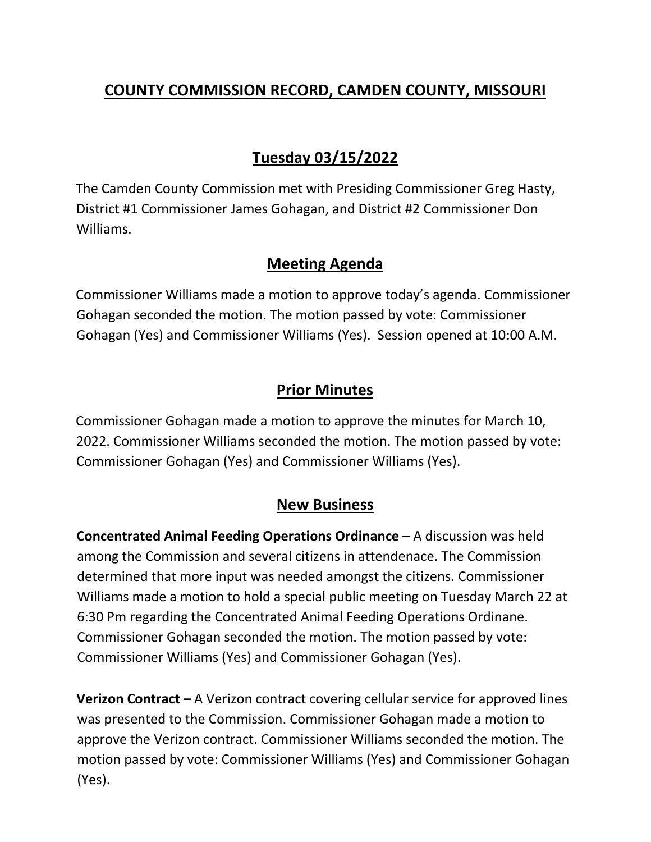# **COUNTY COMMISSION RECORD, CAMDEN COUNTY, MISSOURI**

# **Tuesday 03/15/2022**

The Camden County Commission met with Presiding Commissioner Greg Hasty, District #1 Commissioner James Gohagan, and District #2 Commissioner Don Williams.

### **Meeting Agenda**

Commissioner Williams made a motion to approve today's agenda. Commissioner Gohagan seconded the motion. The motion passed by vote: Commissioner Gohagan (Yes) and Commissioner Williams (Yes). Session opened at 10:00 A.M.

## **Prior Minutes**

Commissioner Gohagan made a motion to approve the minutes for March 10, 2022. Commissioner Williams seconded the motion. The motion passed by vote: Commissioner Gohagan (Yes) and Commissioner Williams (Yes).

### **New Business**

**Concentrated Animal Feeding Operations Ordinance –** A discussion was held among the Commission and several citizens in attendenace. The Commission determined that more input was needed amongst the citizens. Commissioner Williams made a motion to hold a special public meeting on Tuesday March 22 at 6:30 Pm regarding the Concentrated Animal Feeding Operations Ordinane. Commissioner Gohagan seconded the motion. The motion passed by vote: Commissioner Williams (Yes) and Commissioner Gohagan (Yes).

**Verizon Contract –** A Verizon contract covering cellular service for approved lines was presented to the Commission. Commissioner Gohagan made a motion to approve the Verizon contract. Commissioner Williams seconded the motion. The motion passed by vote: Commissioner Williams (Yes) and Commissioner Gohagan (Yes).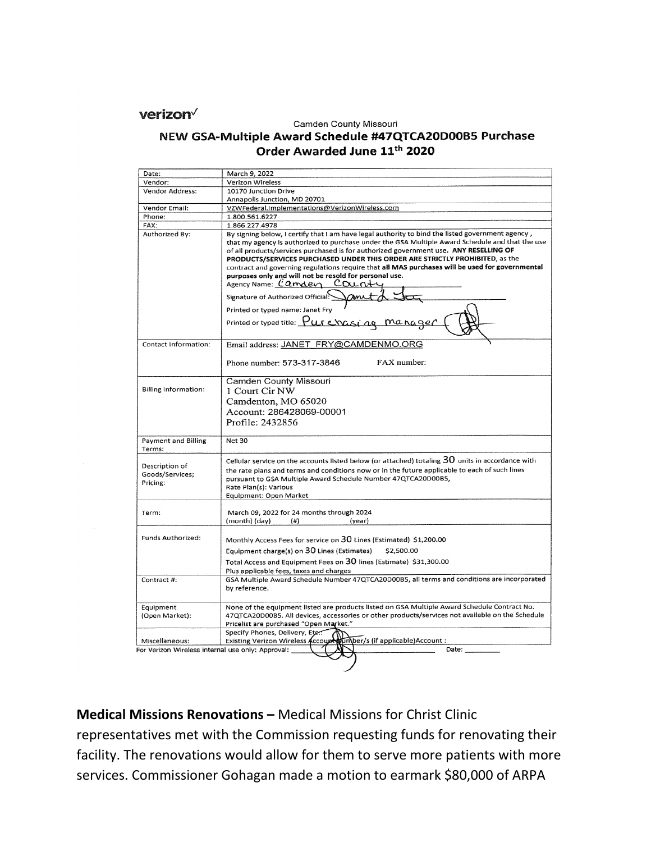verizon<sup> $\sqrt$ </sup>

#### Camden County Missouri

#### NEW GSA-Multiple Award Schedule #47QTCA20D00B5 Purchase Order Awarded June 11th 2020

| Date:                                             | March 9, 2022                                                                                                                                                                                                                                                                                                                                                                                                                                                                                                                                                                                                                                                                                               |
|---------------------------------------------------|-------------------------------------------------------------------------------------------------------------------------------------------------------------------------------------------------------------------------------------------------------------------------------------------------------------------------------------------------------------------------------------------------------------------------------------------------------------------------------------------------------------------------------------------------------------------------------------------------------------------------------------------------------------------------------------------------------------|
| Vendor:                                           | <b>Verizon Wireless</b>                                                                                                                                                                                                                                                                                                                                                                                                                                                                                                                                                                                                                                                                                     |
| Vendor Address:                                   | 10170 Junction Drive                                                                                                                                                                                                                                                                                                                                                                                                                                                                                                                                                                                                                                                                                        |
|                                                   | Annapolis Junction, MD 20701                                                                                                                                                                                                                                                                                                                                                                                                                                                                                                                                                                                                                                                                                |
| Vendor Email:                                     | VZWFederal.Implementations@VerizonWireless.com                                                                                                                                                                                                                                                                                                                                                                                                                                                                                                                                                                                                                                                              |
| Phone:                                            | 1.800.561.6227                                                                                                                                                                                                                                                                                                                                                                                                                                                                                                                                                                                                                                                                                              |
| FAX:                                              | 1.866.227.4978                                                                                                                                                                                                                                                                                                                                                                                                                                                                                                                                                                                                                                                                                              |
| Authorized By:                                    | By signing below, I certify that I am have legal authority to bind the listed government agency,<br>that my agency is authorized to purchase under the GSA Multiple Award Schedule and that the use<br>of all products/services purchased is for authorized government use. ANY RESELLING OF<br>PRODUCTS/SERVICES PURCHASED UNDER THIS ORDER ARE STRICTLY PROHIBITED, as the<br>contract and governing regulations require that all MAS purchases will be used for governmental<br>purposes only and will not be resold for personal use.<br>Agency Name: Carnder Count<br>Signature of Authorized Official:<br>Printed or typed name: Janet Fry<br>Printed or typed title: $Purs$ $Cursi$ $na$ $mana$ $qa$ |
| Contact Information:                              | Email address: JANET FRY@CAMDENMO.ORG                                                                                                                                                                                                                                                                                                                                                                                                                                                                                                                                                                                                                                                                       |
|                                                   | FAX number:<br>Phone number: 573-317-3846                                                                                                                                                                                                                                                                                                                                                                                                                                                                                                                                                                                                                                                                   |
| <b>Billing Information:</b>                       | Camden County Missouri<br>1 Court Cir NW<br>Camdenton, MO 65020<br>Account: 286428069-00001<br>Profile: 2432856                                                                                                                                                                                                                                                                                                                                                                                                                                                                                                                                                                                             |
| <b>Payment and Billing</b><br>Terms:              | <b>Net 30</b>                                                                                                                                                                                                                                                                                                                                                                                                                                                                                                                                                                                                                                                                                               |
| Description of<br>Goods/Services;<br>Pricing:     | Cellular service on the accounts listed below (or attached) totaling $30$ units in accordance with<br>the rate plans and terms and conditions now or in the future applicable to each of such lines<br>pursuant to GSA Multiple Award Schedule Number 47QTCA20D00B5,<br>Rate Plan(s): Various<br>Equipment: Open Market                                                                                                                                                                                                                                                                                                                                                                                     |
| Term:                                             | March 09, 2022 for 24 months through 2024<br>(month) (day)<br>(# )<br>(year)                                                                                                                                                                                                                                                                                                                                                                                                                                                                                                                                                                                                                                |
| Funds Authorized:                                 | Monthly Access Fees for service on 30 Lines (Estimated) \$1,200.00<br>Equipment charge(s) on 30 Lines (Estimates)<br>\$2,500.00<br>Total Access and Equipment Fees on 30 lines (Estimate) \$31,300.00<br>Plus applicable fees, taxes and charges                                                                                                                                                                                                                                                                                                                                                                                                                                                            |
| Contract #:                                       | GSA Multiple Award Schedule Number 47QTCA20D00B5, all terms and conditions are incorporated<br>by reference.                                                                                                                                                                                                                                                                                                                                                                                                                                                                                                                                                                                                |
| Equipment<br>(Open Market):                       | None of the equipment listed are products listed on GSA Multiple Award Schedule Contract No.<br>47QTCA20D00B5. All devices, accessories or other products/services not available on the Schedule<br>Pricelist are purchased "Open Market."<br>Specify Phones, Delivery, Etc.:                                                                                                                                                                                                                                                                                                                                                                                                                               |
| Miscellaneous:                                    | Specify Friends, Delivery, Eur.<br>Existing Verizon Wireless Accoupe (Umber/s (if applicable) Account :                                                                                                                                                                                                                                                                                                                                                                                                                                                                                                                                                                                                     |
| For Verizon Wireless internal use only: Approval: | Date:                                                                                                                                                                                                                                                                                                                                                                                                                                                                                                                                                                                                                                                                                                       |

**Medical Missions Renovations - Medical Missions for Christ Clinic** representatives met with the Commission requesting funds for renovating their facility. The renovations would allow for them to serve more patients with more services. Commissioner Gohagan made a motion to earmark \$80,000 of ARPA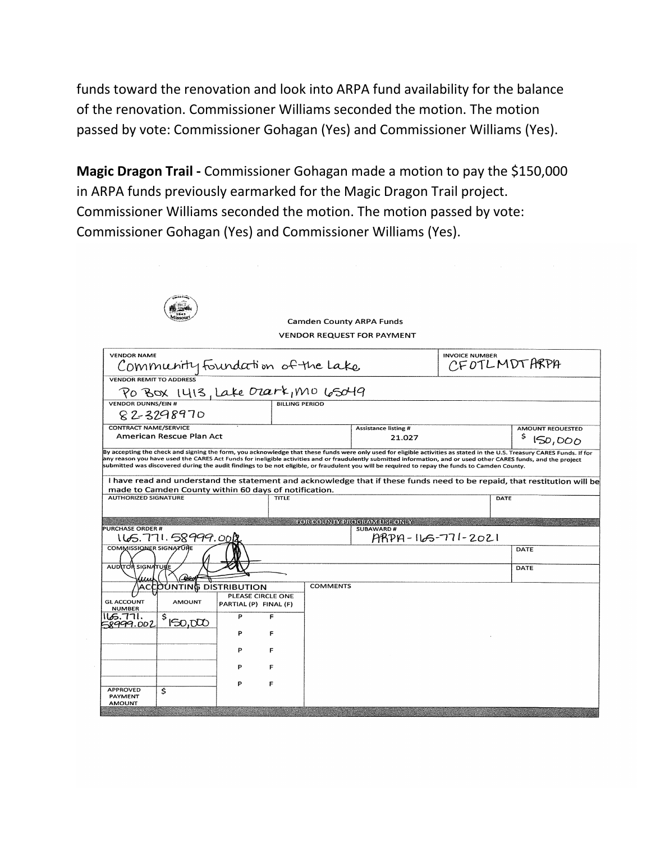funds toward the renovation and look into ARPA fund availability for the balance of the renovation. Commissioner Williams seconded the motion. The motion passed by vote: Commissioner Gohagan (Yes) and Commissioner Williams (Yes).

**Magic Dragon Trail -** Commissioner Gohagan made a motion to pay the \$150,000 in ARPA funds previously earmarked for the Magic Dragon Trail project. Commissioner Williams seconded the motion. The motion passed by vote: Commissioner Gohagan (Yes) and Commissioner Williams (Yes).

|                                                        |                                            | <b>Camden County ARPA Funds</b> |                 | <b>VENDOR REQUEST FOR PAYMENT</b>                       |                                                                                                                                                |                                                                                                                          |
|--------------------------------------------------------|--------------------------------------------|---------------------------------|-----------------|---------------------------------------------------------|------------------------------------------------------------------------------------------------------------------------------------------------|--------------------------------------------------------------------------------------------------------------------------|
| <b>VENDOR NAME</b><br>Community foundation of the Lake |                                            |                                 |                 |                                                         | <b>INVOICE NUMBER</b><br>CFOTLMDTARPA                                                                                                          |                                                                                                                          |
| <b>VENDOR REMIT TO ADDRESS</b>                         |                                            |                                 |                 |                                                         |                                                                                                                                                |                                                                                                                          |
|                                                        |                                            |                                 |                 |                                                         |                                                                                                                                                |                                                                                                                          |
| <b>VENDOR DUNNS/FIN #</b><br>82-3298970                |                                            | <b>BILLING PERIOD</b>           |                 |                                                         |                                                                                                                                                |                                                                                                                          |
| <b>CONTRACT NAME/SERVICE</b>                           |                                            |                                 |                 | <b>Assistance listing #</b>                             |                                                                                                                                                | <b>AMOUNT REQUESTED</b>                                                                                                  |
| American Rescue Plan Act                               |                                            |                                 |                 | 21.027                                                  |                                                                                                                                                | \$.<br>150,000                                                                                                           |
| made to Camden County within 60 days of notification.  |                                            |                                 |                 |                                                         | submitted was discovered during the audit findings to be not eligible, or fraudulent you will be required to repay the funds to Camden County. | I have read and understand the statement and acknowledge that if these funds need to be repaid, that restitution will be |
| <b>AUTHORIZED SIGNATURE</b>                            |                                            | <b>TITLE</b>                    |                 |                                                         |                                                                                                                                                | DATE                                                                                                                     |
| <b>PURCHASE ORDER #</b>                                |                                            |                                 |                 | <b>EXAMPLE OR COUNTY PROGRAM USE ONLY</b><br>SUBAWARD # |                                                                                                                                                |                                                                                                                          |
| 165.771.58999.0012<br>COMMISSIONER SIGNATURE           |                                            |                                 |                 | $P$ APPA - $11 - 2021$                                  |                                                                                                                                                | DATE                                                                                                                     |
| <b>AUDITOR SIGNATURE</b>                               |                                            |                                 |                 |                                                         |                                                                                                                                                | DATE                                                                                                                     |
| ACCOUNTING DISTRIBUTION                                |                                            |                                 | <b>COMMENTS</b> |                                                         |                                                                                                                                                |                                                                                                                          |
| <b>AMOUNT</b>                                          | PLEASE CIRCLE ONE<br>PARTIAL (P) FINAL (F) |                                 |                 |                                                         |                                                                                                                                                |                                                                                                                          |
| <b>NUMBER</b><br>.06.771 ما<br>\$                      | P                                          | F                               |                 |                                                         |                                                                                                                                                |                                                                                                                          |
| 150,000                                                | ₽                                          | F                               |                 |                                                         |                                                                                                                                                |                                                                                                                          |
| <b>GLACCOUNT</b><br><u>58999.002</u>                   | p                                          | F                               |                 |                                                         |                                                                                                                                                |                                                                                                                          |
|                                                        |                                            | F                               |                 |                                                         |                                                                                                                                                |                                                                                                                          |